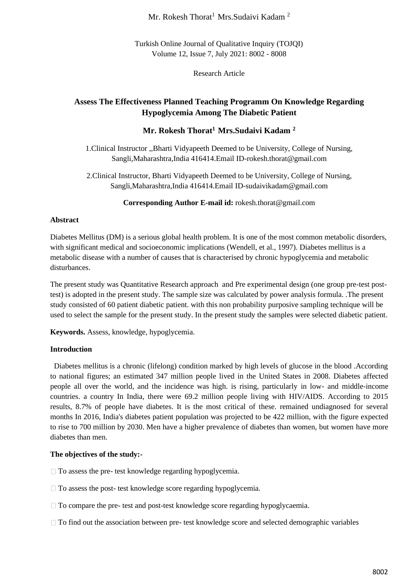## Mr. Rokesh Thorat<sup>1</sup> Mrs.Sudaivi Kadam<sup>2</sup>

Turkish Online Journal of Qualitative Inquiry (TOJQI) Volume 12, Issue 7, July 2021: 8002 - 8008

Research Article

# **Assess The Effectiveness Planned Teaching Programm On Knowledge Regarding Hypoglycemia Among The Diabetic Patient**

## **Mr. Rokesh Thorat<sup>1</sup>Mrs.Sudaivi Kadam <sup>2</sup>**

1.Clinical Instructor ,,Bharti Vidyapeeth Deemed to be University, College of Nursing, Sangli,Maharashtra,India 416414.Email ID-rokesh.thorat@gmail.com

2.Clinical Instructor, Bharti Vidyapeeth Deemed to be University, College of Nursing, Sangli,Maharashtra,India 416414.Email ID-sudaivikadam@gmail.com

**Corresponding Author E-mail id:** rokesh.thorat@gmail.com

#### **Abstract**

Diabetes Mellitus (DM) is a serious global health problem. It is one of the most common metabolic disorders, with significant medical and socioeconomic implications (Wendell, et al., 1997). Diabetes mellitus is a metabolic disease with a number of causes that is characterised by chronic hypoglycemia and metabolic disturbances.

The present study was Quantitative Research approach and Pre experimental design (one group pre-test posttest) is adopted in the present study. The sample size was calculated by power analysis formula. .The present study consisted of 60 patient diabetic patient. with this non probability purposive sampling technique will be used to select the sample for the present study. In the present study the samples were selected diabetic patient.

**Keywords.** Assess, knowledge, hypoglycemia.

## **Introduction**

 Diabetes mellitus is a chronic (lifelong) condition marked by high levels of glucose in the blood .According to national figures; an estimated 347 million people lived in the United States in 2008. Diabetes affected people all over the world, and the incidence was high. is rising, particularly in low- and middle-income countries. a country In India, there were 69.2 million people living with HIV/AIDS. According to 2015 results, 8.7% of people have diabetes. It is the most critical of these. remained undiagnosed for several months In 2016, India's diabetes patient population was projected to be 422 million, with the figure expected to rise to 700 million by 2030. Men have a higher prevalence of diabetes than women, but women have more diabetes than men.

## **The objectives of the study:-**

- $\Box$  To assess the pre- test knowledge regarding hypoglycemia.
- □ To assess the post- test knowledge score regarding hypoglycemia.
- $\Box$  To compare the pre- test and post-test knowledge score regarding hypoglycaemia.
- $\Box$  To find out the association between pre- test knowledge score and selected demographic variables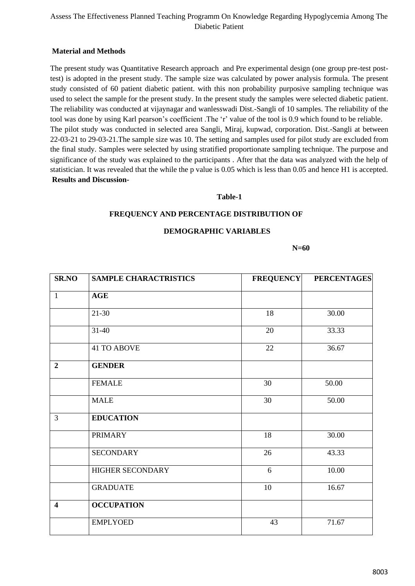## Assess The Effectiveness Planned Teaching Programm On Knowledge Regarding Hypoglycemia Among The Diabetic Patient

## **Material and Methods**

The present study was Quantitative Research approach and Pre experimental design (one group pre-test posttest) is adopted in the present study. The sample size was calculated by power analysis formula. The present study consisted of 60 patient diabetic patient. with this non probability purposive sampling technique was used to select the sample for the present study. In the present study the samples were selected diabetic patient. The reliability was conducted at vijaynagar and wanlesswadi Dist.-Sangli of 10 samples. The reliability of the tool was done by using Karl pearson's coefficient .The 'r' value of the tool is 0.9 which found to be reliable. The pilot study was conducted in selected area Sangli, Miraj, kupwad, corporation. Dist.-Sangli at between 22-03-21 to 29-03-21.The sample size was 10. The setting and samples used for pilot study are excluded from the final study. Samples were selected by using stratified proportionate sampling technique. The purpose and significance of the study was explained to the participants . After that the data was analyzed with the help of statistician. It was revealed that the while the p value is 0.05 which is less than 0.05 and hence H1 is accepted. **Results and Discussion-**

#### **Table-1**

#### **FREQUENCY AND PERCENTAGE DISTRIBUTION OF**

#### **DEMOGRAPHIC VARIABLES**

 **N=60**

| <b>SR.NO</b>            | <b>SAMPLE CHARACTRISTICS</b> | <b>FREQUENCY</b> | <b>PERCENTAGES</b> |  |
|-------------------------|------------------------------|------------------|--------------------|--|
| $\mathbf{1}$            | <b>AGE</b>                   |                  |                    |  |
|                         | $21-30$                      | 18               | 30.00              |  |
|                         | $31 - 40$                    | 20               | 33.33              |  |
|                         | <b>41 TO ABOVE</b>           | 22               | 36.67              |  |
| $\overline{2}$          | <b>GENDER</b>                |                  |                    |  |
|                         | <b>FEMALE</b>                | 30               | 50.00              |  |
|                         | <b>MALE</b>                  | 30               | 50.00              |  |
| 3                       | <b>EDUCATION</b>             |                  |                    |  |
|                         | <b>PRIMARY</b>               | 18               | 30.00              |  |
|                         | <b>SECONDARY</b>             | 26               | 43.33              |  |
|                         | HIGHER SECONDARY             | 6                | 10.00              |  |
|                         | <b>GRADUATE</b>              | 10               | 16.67              |  |
| $\overline{\mathbf{4}}$ | <b>OCCUPATION</b>            |                  |                    |  |
|                         | <b>EMPLYOED</b>              | 43               | 71.67              |  |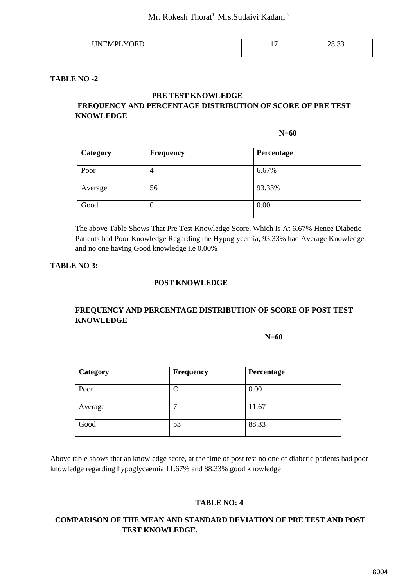| - 13<br>--<br>_ | -<br><b>.</b> | $\sim$<br>∍∩<br>ж.<br>. د ن ب |
|-----------------|---------------|-------------------------------|
|                 |               |                               |

#### **TABLE NO -2**

#### **PRE TEST KNOWLEDGE**

## **FREQUENCY AND PERCENTAGE DISTRIBUTION OF SCORE OF PRE TEST KNOWLEDGE**

 **N=60** 

| Category | <b>Frequency</b> | Percentage |
|----------|------------------|------------|
| Poor     | 4                | 6.67%      |
| Average  | 56               | 93.33%     |
| Good     | U                | 0.00       |

The above Table Shows That Pre Test Knowledge Score, Which Is At 6.67% Hence Diabetic Patients had Poor Knowledge Regarding the Hypoglycemia, 93.33% had Average Knowledge, and no one having Good knowledge i.e 0.00%

#### **TABLE NO 3:**

#### **POST KNOWLEDGE**

## **FREQUENCY AND PERCENTAGE DISTRIBUTION OF SCORE OF POST TEST KNOWLEDGE**

 **N=60**

| Category | <b>Frequency</b> | Percentage |
|----------|------------------|------------|
| Poor     | О                | 0.00       |
| Average  |                  | 11.67      |
| Good     | 53               | 88.33      |

Above table shows that an knowledge score, at the time of post test no one of diabetic patients had poor knowledge regarding hypoglycaemia 11.67% and 88.33% good knowledge

#### **TABLE NO: 4**

## **COMPARISON OF THE MEAN AND STANDARD DEVIATION OF PRE TEST AND POST TEST KNOWLEDGE.**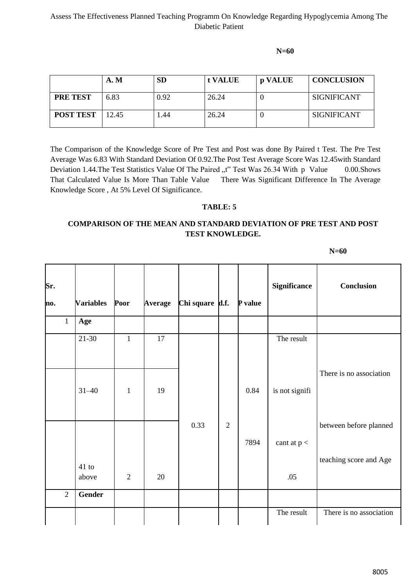## Assess The Effectiveness Planned Teaching Programm On Knowledge Regarding Hypoglycemia Among The Diabetic Patient

 **N=60** 

|                  | <b>A. M</b> | <b>SD</b> | t VALUE | p VALUE | <b>CONCLUSION</b>  |
|------------------|-------------|-----------|---------|---------|--------------------|
| <b>PRE TEST</b>  | 6.83        | 0.92      | 26.24   |         | <b>SIGNIFICANT</b> |
| <b>POST TEST</b> | 12.45       | .44       | 26.24   |         | <b>SIGNIFICANT</b> |

The Comparison of the Knowledge Score of Pre Test and Post was done By Paired t Test. The Pre Test Average Was 6.83 With Standard Deviation Of 0.92.The Post Test Average Score Was 12.45with Standard Deviation 1.44. The Test Statistics Value Of The Paired "t" Test Was 26.34 With p Value 0.00. Shows That Calculated Value Is More Than Table Value There Was Significant Difference In The Average Knowledge Score , At 5% Level Of Significance.

## **TABLE: 5**

## **COMPARISON OF THE MEAN AND STANDARD DEVIATION OF PRE TEST AND POST TEST KNOWLEDGE.**

 **N=60**

| Sr.<br>no.     | <b>Variables</b> | Poor           | <b>Average</b> | Chi square d.f. |                | P value | <b>Significance</b> | <b>Conclusion</b>       |
|----------------|------------------|----------------|----------------|-----------------|----------------|---------|---------------------|-------------------------|
| $\mathbf{1}$   | Age              |                |                |                 |                |         |                     |                         |
|                | $21 - 30$        | $\mathbf{1}$   | 17             |                 |                |         | The result          |                         |
|                | $31 - 40$        | $\mathbf{1}$   | 19             |                 |                | 0.84    | is not signifi      | There is no association |
|                |                  |                |                | 0.33            | $\overline{2}$ | 7894    | cant at $p <$       | between before planned  |
|                | 41 to<br>above   | $\overline{2}$ | 20             |                 |                |         | .05                 | teaching score and Age  |
| $\overline{2}$ | <b>Gender</b>    |                |                |                 |                |         |                     |                         |
|                |                  |                |                |                 |                |         | The result          | There is no association |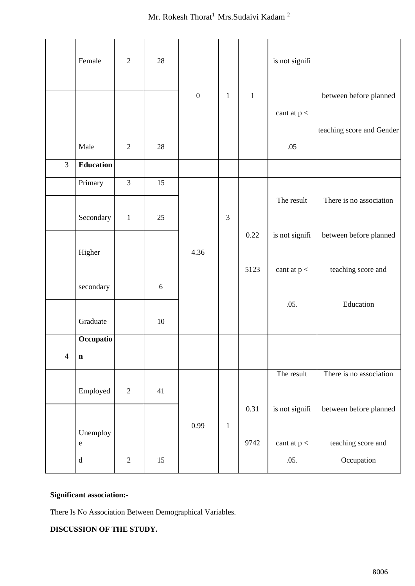# Mr. Rokesh Thorat $^1$ Mrs.<br>Sudaivi Kadam $^2$

|                | Female           | $\overline{2}$ | 28         |                  |                |         | is not signifi |                           |
|----------------|------------------|----------------|------------|------------------|----------------|---------|----------------|---------------------------|
|                |                  |                |            | $\boldsymbol{0}$ | $\mathbf{1}$   | $\,1\,$ |                | between before planned    |
|                |                  |                |            |                  |                |         | cant at $p <$  |                           |
|                |                  |                |            |                  |                |         |                | teaching score and Gender |
|                | Male             | $\sqrt{2}$     | 28         |                  |                |         | .05            |                           |
| 3              | <b>Education</b> |                |            |                  |                |         |                |                           |
|                | Primary          | $\mathfrak{Z}$ | 15         |                  |                |         |                |                           |
|                |                  |                |            |                  |                |         | The result     | There is no association   |
|                | Secondary        | $\mathbf{1}$   | 25         |                  | $\mathfrak{Z}$ |         |                |                           |
|                |                  |                |            |                  |                | 0.22    | is not signifi | between before planned    |
|                | Higher           |                |            | 4.36             |                |         |                |                           |
|                |                  |                |            |                  |                | 5123    | cant at $p <$  | teaching score and        |
|                | secondary        |                | $\sqrt{6}$ |                  |                |         |                |                           |
|                |                  |                |            |                  |                |         | .05.           | Education                 |
|                | Graduate         |                | 10         |                  |                |         |                |                           |
|                | Occupatio        |                |            |                  |                |         |                |                           |
| $\overline{4}$ | $\mathbf n$      |                |            |                  |                |         |                |                           |
|                |                  |                |            |                  |                |         | The result     | There is no association   |
|                | Employed         | $\sqrt{2}$     | 41         |                  |                |         |                |                           |
|                |                  |                |            |                  |                | 0.31    | is not signifi | between before planned    |
|                | Unemploy         |                |            | 0.99             | $\mathbf 1$    |         |                |                           |
|                | ${\bf e}$        |                |            |                  |                | 9742    | cant at $p <$  | teaching score and        |
|                | ${\rm d}$        | $\sqrt{2}$     | 15         |                  |                |         | .05.           | Occupation                |

# **Significant association:-**

There Is No Association Between Demographical Variables.

# **DISCUSSION OF THE STUDY.**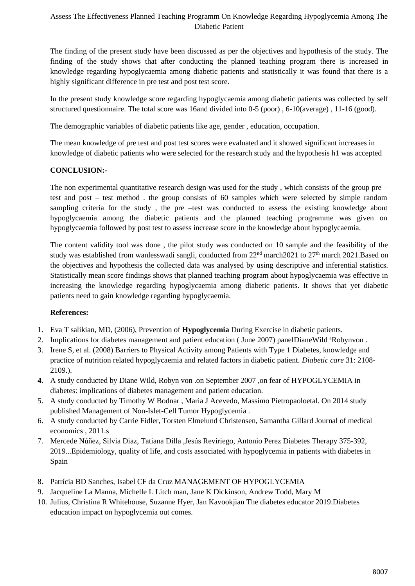## Assess The Effectiveness Planned Teaching Programm On Knowledge Regarding Hypoglycemia Among The Diabetic Patient

The finding of the present study have been discussed as per the objectives and hypothesis of the study. The finding of the study shows that after conducting the planned teaching program there is increased in knowledge regarding hypoglycaemia among diabetic patients and statistically it was found that there is a highly significant difference in pre test and post test score.

In the present study knowledge score regarding hypoglycaemia among diabetic patients was collected by self structured questionnaire. The total score was 16and divided into 0-5 (poor) , 6-10(average) , 11-16 (good).

The demographic variables of diabetic patients like age, gender , education, occupation.

The mean knowledge of pre test and post test scores were evaluated and it showed significant increases in knowledge of diabetic patients who were selected for the research study and the hypothesis h1 was accepted

## **CONCLUSION:-**

The non experimental quantitative research design was used for the study, which consists of the group pre – test and post – test method . the group consists of 60 samples which were selected by simple random sampling criteria for the study, the pre-test was conducted to assess the existing knowledge about hypoglycaemia among the diabetic patients and the planned teaching programme was given on hypoglycaemia followed by post test to assess increase score in the knowledge about hypoglycaemia.

The content validity tool was done , the pilot study was conducted on 10 sample and the feasibility of the study was established from wanlesswadi sangli, conducted from 22<sup>nd</sup> march2021 to 27<sup>th</sup> march 2021.Based on the objectives and hypothesis the collected data was analysed by using descriptive and inferential statistics. Statistically mean score findings shows that planned teaching program about hypoglycaemia was effective in increasing the knowledge regarding hypoglycaemia among diabetic patients. It shows that yet diabetic patients need to gain knowledge regarding hypoglycaemia.

## **References:**

- 1. Eva T salikian, MD, (2006), Prevention of **Hypoglycemia** During Exercise in diabetic patients.
- 2. Implications for diabetes management and patient education (June 2007) panelDianeWild <sup>a</sup>Robynvon.
- 3. Irene S, et al. (2008) Barriers to Physical Activity among Patients with Type 1 Diabetes, knowledge and practice of nutrition related hypoglycaemia and related factors in diabetic patient. *Diabetic care* 31: 2108- 2109.).
- **4.** A study conducted by Diane Wild, Robyn von .on September 2007 ,on fear of HYPOGLYCEMIA in diabetes: implications of diabetes management and patient education.
- 5. A study conducted by Timothy W Bodnar , Maria J Acevedo, Massimo Pietropaoloetal. On 2014 study published Management of Non-Islet-Cell Tumor Hypoglycemia .
- 6. A study conducted by Carrie Fidler, Torsten Elmelund Christensen, Samantha Gillard Journal of medical economics , 2011.s
- 7. Mercede Núñez, Silvia Diaz, Tatiana Dilla ,Jesús Reviriego, Antonio Perez Diabetes Therapy 375-392, 2019...Epidemiology, quality of life, and costs associated with hypoglycemia in patients with diabetes in Spain
- 8. Patrícia BD Sanches, Isabel CF da Cruz MANAGEMENT OF HYPOGLYCEMIA
- 9. Jacqueline La Manna, Michelle L Litch man, Jane K Dickinson, Andrew Todd, Mary M
- 10. Julius, Christina R Whitehouse, Suzanne Hyer, Jan Kavookjian The diabetes educator 2019.Diabetes education impact on hypoglycemia out comes.